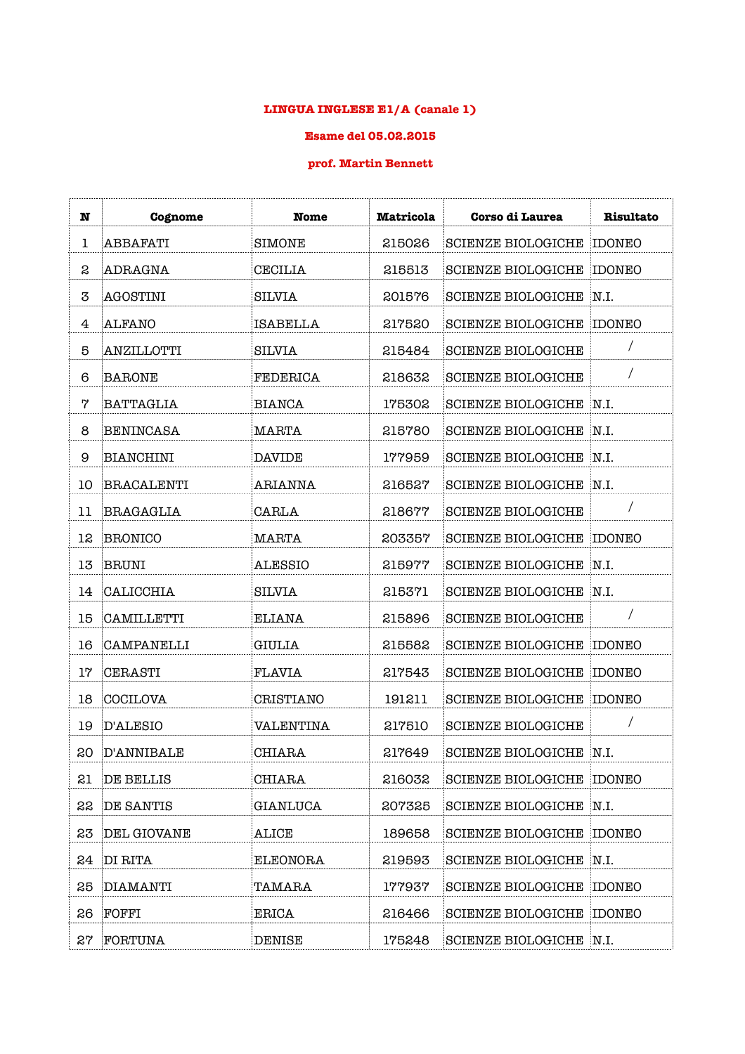## **LINGUA INGLESE E1/A (canale 1)**

## **Esame del 05.02.2015**

## **prof. Martin Bennett**

| N  | Cognome          | <b>Nome</b>      | <b>Matricola</b> | <b>Corso di Laurea</b>           | Risultato |
|----|------------------|------------------|------------------|----------------------------------|-----------|
| 1  | ABBAFATI         | SIMONE           | 215026           | <b>SCIENZE BIOLOGICHE</b>        | IDONEO    |
| S  | ADRAGNA          | <b>CECILIA</b>   | 215513           | <b>SCIENZE BIOLOGICHE</b>        | IDONEO    |
| 3  | AGOSTINI         | <b>SILVIA</b>    | 201576           | <b>SCIENZE BIOLOGICHE</b>        | N.I.      |
| 4  | <b>ALFANO</b>    | <b>ISABELLA</b>  | 217520           | <b>SCIENZE BIOLOGICHE</b>        | IDONEO    |
| 5  | ANZILLOTTI       | <b>SILVIA</b>    | 215484           | <b>SCIENZE BIOLOGICHE</b>        |           |
| 6  | <b>BARONE</b>    | FEDERICA         | 218632           | <b>SCIENZE BIOLOGICHE</b>        |           |
| 7  | <b>BATTAGLIA</b> | <b>BIANCA</b>    | 175302           | <b>SCIENZE BIOLOGICHE</b>        | N.I.      |
| 8  | BENINCASA        | MARTA            | 215780           | <b>SCIENZE BIOLOGICHE</b>        | N.I.      |
| 9  | <b>BIANCHINI</b> | DAVIDE           | 177959           | <b>SCIENZE BIOLOGICHE</b>        | N.I.      |
| 10 | BRACALENTI       | <b>ARIANNA</b>   | 216527           | <b>SCIENZE BIOLOGICHE</b>        | N.I.      |
| 11 | BRAGAGLIA        | CARLA            | 218677           | <b>SCIENZE BIOLOGICHE</b>        |           |
| 12 | BRONICO          | <b>MARTA</b>     | 203357           | <b>SCIENZE BIOLOGICHE</b>        | IDONEO    |
| 13 | BRUNI            | ALESSIO          | 215977           | <b>SCIENZE BIOLOGICHE</b>        | N.I.      |
| 14 | CALICCHIA        | <b>SILVIA</b>    | 215371           | <b>SCIENZE BIOLOGICHE</b>        | N.I.      |
| 15 | CAMILLETTI       | ELIANA           | 215896           | <b>SCIENZE BIOLOGICHE</b>        |           |
| 16 | CAMPANELLI       | <b>GIULIA</b>    | 215582           | <b>SCIENZE BIOLOGICHE</b>        | IDONEO    |
| 17 | CERASTI          | <b>FLAVIA</b>    | 217543           | <b>SCIENZE BIOLOGICHE</b>        | IDONEO    |
| 18 | COCILOVA         | CRISTIANO        | 191211           | <b>SCIENZE BIOLOGICHE</b>        | IDONEO    |
| 19 | <b>D'ALESIO</b>  | <b>VALENTINA</b> | 217510           | <b>SCIENZE BIOLOGICHE</b>        | Τ         |
| 20 | D'ANNIBALE       | CHIARA           | 217649           | <b>SCIENZE BIOLOGICHE</b>        | N.I.      |
| 21 | DE BELLIS        | CHIARA           | 216032           | <b>SCIENZE BIOLOGICHE IDONEO</b> |           |
| 22 | DE SANTIS        | GIANLUCA         | 207325           | SCIENZE BIOLOGICHE N.I.          |           |
| 23 | DEL GIOVANE      | ALICE            | 189658           | <b>SCIENZE BIOLOGICHE IDONEO</b> |           |
|    | 24 DI RITA       | ELEONORA         | 219593           | SCIENZE BIOLOGICHE N.I.          |           |
|    | 25 DIAMANTI      | TAMARA           | 177937           | <b>SCIENZE BIOLOGICHE IDONEO</b> |           |
| 26 | FOFFI            | ERICA            | 216466           | <b>SCIENZE BIOLOGICHE IDONEO</b> |           |
|    | 27 FORTUNA       | <b>DENISE</b>    | 175248           | SCIENZE BIOLOGICHE N.I.          |           |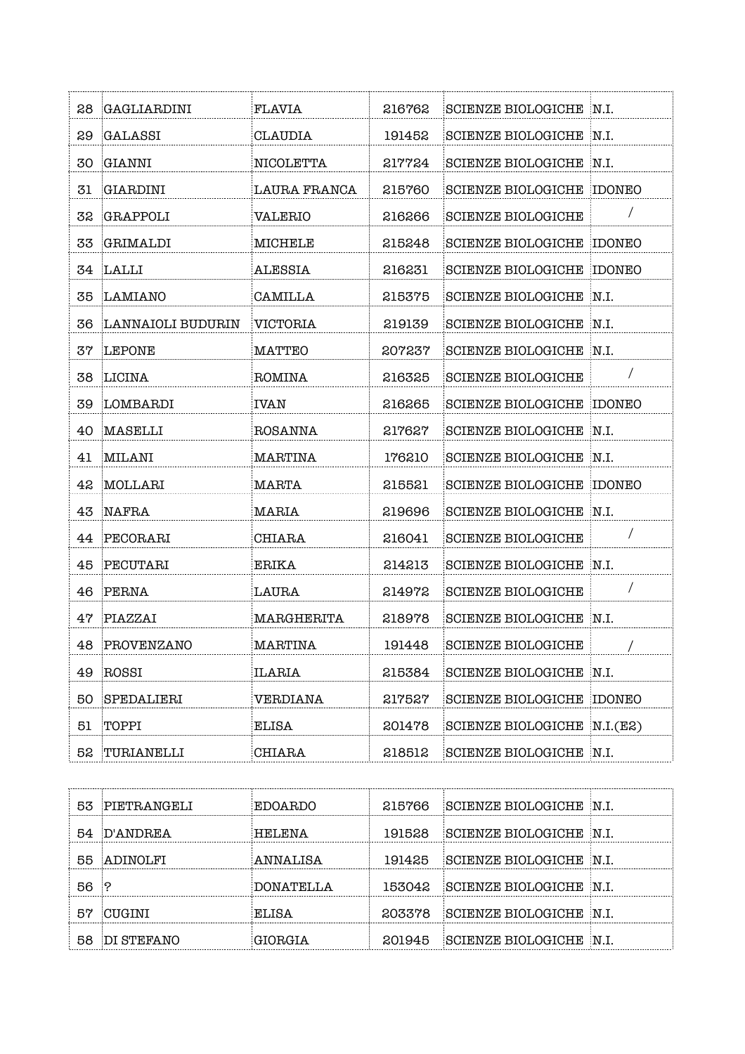| 28  | GAGLIARDINI       | FLAVIA       | 216762 | SCIENZE BIOLOGICHE N.I.          |            |
|-----|-------------------|--------------|--------|----------------------------------|------------|
| 29  | GALASSI           | CLAUDIA      | 191452 | SCIENZE BIOLOGICHE N.I.          |            |
| 30  | <b>GIANNI</b>     | NICOLETTA    | 217724 | SCIENZE BIOLOGICHE N.I.          |            |
| 31  | GIARDINI          | LAURA FRANCA | 215760 | <b>SCIENZE BIOLOGICHE IDONEO</b> |            |
| 32  | GRAPPOLI          | VALERIO      | 216266 | <b>SCIENZE BIOLOGICHE</b>        |            |
| 33  | GRIMALDI          | MICHELE      | 215248 | <b>SCIENZE BIOLOGICHE</b>        | IDONEO     |
|     | 34 LALLI          | ALESSIA      | 216231 | <b>SCIENZE BIOLOGICHE IDONEO</b> |            |
| 35. | LAMIANO           | CAMILLA      | 215375 | SCIENZE BIOLOGICHE N.I.          |            |
| 36  | LANNAIOLI BUDURIN | VICTORIA     | 219139 | SCIENZE BIOLOGICHE N.I.          |            |
| 37  | LEPONE            | MATTEO       | 207237 | SCIENZE BIOLOGICHE N.I.          |            |
| 38  | LICINA            | ROMINA       | 216325 | <b>SCIENZE BIOLOGICHE</b>        |            |
| 39  | LOMBARDI          | IVAN         | 216265 | <b>SCIENZE BIOLOGICHE IDONEO</b> |            |
| 40  | MASELLI           | ROSANNA      | 217627 | SCIENZE BIOLOGICHE N.I.          |            |
| 41  | MILANI            | MARTINA      | 176210 | SCIENZE BIOLOGICHE N.I.          |            |
| 42  | MOLLARI           | MARTA        | 215521 | <b>SCIENZE BIOLOGICHE</b>        | IDONEO     |
| 43  | NAFRA             | MARIA        | 219696 | <b>SCIENZE BIOLOGICHE</b>        | N.I.       |
| 44  | PECORARI          | CHIARA       | 216041 | <b>SCIENZE BIOLOGICHE</b>        | $\prime$   |
| 45  | PECUTARI          | ERIKA        | 214213 | SCIENZE BIOLOGICHE N.I.          |            |
| 46  | PERNA             | LAURA        | 214972 | <b>SCIENZE BIOLOGICHE</b>        | $\sqrt{2}$ |
| 47  | PIAZZAI           | MARGHERITA   | 218978 | SCIENZE BIOLOGICHE N.I.          |            |
| 48  | PROVENZANO        | MARTINA      | 191448 | <b>SCIENZE BIOLOGICHE</b>        |            |
| 49  | ROSSI             | ILARIA       | 215384 | SCIENZE BIOLOGICHE N.I.          |            |
| 50  | SPEDALIERI        | VERDIANA     | 217527 | <b>SCIENZE BIOLOGICHE IDONEO</b> |            |
| 51  | TOPPI             | ELISA        | 201478 | SCIENZE BIOLOGICHE N.I.(E2)      |            |
| 52  | TURIANELLI        | CHIARA       | 218512 | SCIENZE BIOLOGICHE N.I.          |            |

|     | 53 PIETRANGELI | EDOARDO   | 215766 | SCIENZE BIOLOGICHE N.I.                         |  |
|-----|----------------|-----------|--------|-------------------------------------------------|--|
|     | 54 D'ANDREA    | HELENA    | 191528 | $\parallel$ SCIENZE BIOLOGICHE $\parallel$ N.I. |  |
|     | 55 ADINOLFI    | ANNALISA  | 191425 | SCIENZE BIOLOGICHE N.I.                         |  |
| 56. |                | DONATELLA | 153042 | SCIENZE BIOLOGICHE N.I.                         |  |
| 57  | CUGINI         | EL JSA    | 203378 | SCIENZE BIOLOGICHE N.I.                         |  |
|     | 58 DI STEFANO  |           | 201945 | SCIENZE BIOLOGICHE N.I.                         |  |

. . . . . . . .